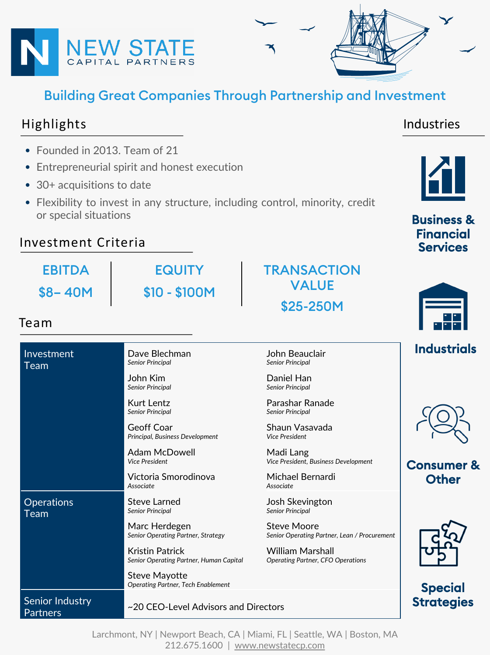

# Building Great Companies Through Partnership and Investment

### Highlights

Industries

- Founded in 2013. Team of 21
- Entrepreneurial spirit and honest execution
- 30+ acquisitions to date
- Flexibility to invest in any structure, including control, minority, credit or special situations

**FQUITY** 

\$10 - \$100M

#### Investment Criteria

EBITDA \$8– 40M

#### Team

#### Investment Team Dave Blechman *Senior Principal* John Beauclair *Senior Principal* John Kim *Senior Principal* Daniel Han *Senior Principal* Kurt Lentz *Senior Principal* Parashar Ranade *Senior Principal* Geoff Coar *Principal, Business Development* Shaun Vasavada *Vice President* Adam McDowell *Vice President* Madi Lang *Vice President, Business Development* Victoria Smorodinova *Associate* Michael Bernardi *Associate* **Operations** Team Steve Larned *Senior Principal* Josh Skevington *Senior Principal* Marc Herdegen *Senior Operating Partner, Strategy* Steve Moore *Senior Operating Partner, Lean / Procurement* Kristin Patrick *Senior Operating Partner, Human Capital* William Marshall *Operating Partner, CFO Operations* Steve Mayotte *Operating Partner, Tech Enablement* Senior Industry Senior mudstry<br>Partners  $\sim$  20 CEO-Level Advisors and Directors





Business & Financial **Services** 

Industrials

Consumer & **Other** 



## **Special Strategies**

Larchmont, NY | Newport Beach, C[A | Miami, FL | Seattle,](http://www.newstatecp.com/) WA | Boston, MA 212.675.1600 | www.newstatecp.com